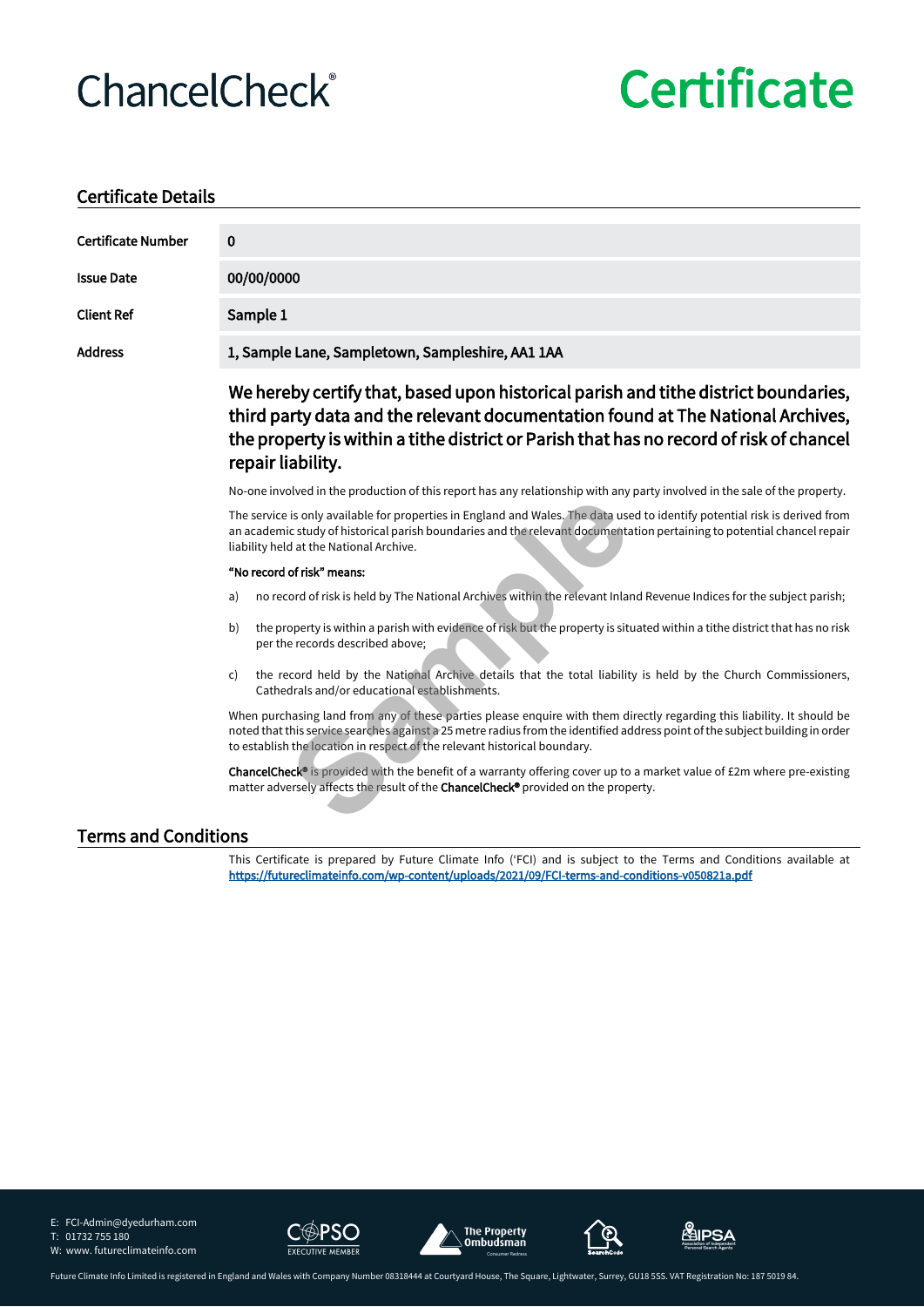## **ChancelCheck®**

# **Certificate**

#### **Certificate Details**

| <b>Certificate Number</b>   | 0                                                                                                                                                                                                                                                                                                                                     |  |  |  |
|-----------------------------|---------------------------------------------------------------------------------------------------------------------------------------------------------------------------------------------------------------------------------------------------------------------------------------------------------------------------------------|--|--|--|
| <b>Issue Date</b>           | 00/00/0000                                                                                                                                                                                                                                                                                                                            |  |  |  |
| <b>Client Ref</b>           | Sample 1                                                                                                                                                                                                                                                                                                                              |  |  |  |
| <b>Address</b>              | 1, Sample Lane, Sampletown, Sampleshire, AA1 1AA                                                                                                                                                                                                                                                                                      |  |  |  |
|                             | We hereby certify that, based upon historical parish and tithe district boundaries,<br>third party data and the relevant documentation found at The National Archives,<br>the property is within a tithe district or Parish that has no record of risk of chancel<br>repair liability.                                                |  |  |  |
|                             | No-one involved in the production of this report has any relationship with any party involved in the sale of the property.                                                                                                                                                                                                            |  |  |  |
|                             | The service is only available for properties in England and Wales. The data used to identify potential risk is derived from<br>an academic study of historical parish boundaries and the relevant documentation pertaining to potential chancel repair<br>liability held at the National Archive.                                     |  |  |  |
|                             | "No record of risk" means:                                                                                                                                                                                                                                                                                                            |  |  |  |
|                             | no record of risk is held by The National Archives within the relevant Inland Revenue Indices for the subject parish;<br>a)                                                                                                                                                                                                           |  |  |  |
|                             | the property is within a parish with evidence of risk but the property is situated within a tithe district that has no risk<br>b)<br>per the records described above;                                                                                                                                                                 |  |  |  |
|                             | the record held by the National Archive details that the total liability is held by the Church Commissioners,<br>C)<br>Cathedrals and/or educational establishments.                                                                                                                                                                  |  |  |  |
|                             | When purchasing land from any of these parties please enquire with them directly regarding this liability. It should be<br>noted that this service searches against a 25 metre radius from the identified address point of the subject building in order<br>to establish the location in respect of the relevant historical boundary. |  |  |  |
|                             | ChancelCheck® is provided with the benefit of a warranty offering cover up to a market value of £2m where pre-existing<br>matter adversely affects the result of the ChancelCheck® provided on the property.                                                                                                                          |  |  |  |
| <b>Terms and Conditions</b> |                                                                                                                                                                                                                                                                                                                                       |  |  |  |

This Certificate is prepared by Future Climate Info ('FCI) and is subject to the Terms and Conditions available at **https://futureclimateinfo.com/wp-content/uploads/2021/09/FCI-terms-and-conditions-v050821a.pdf**

E: FCI-Admin@dyedurham.com

T: 01732 755 180









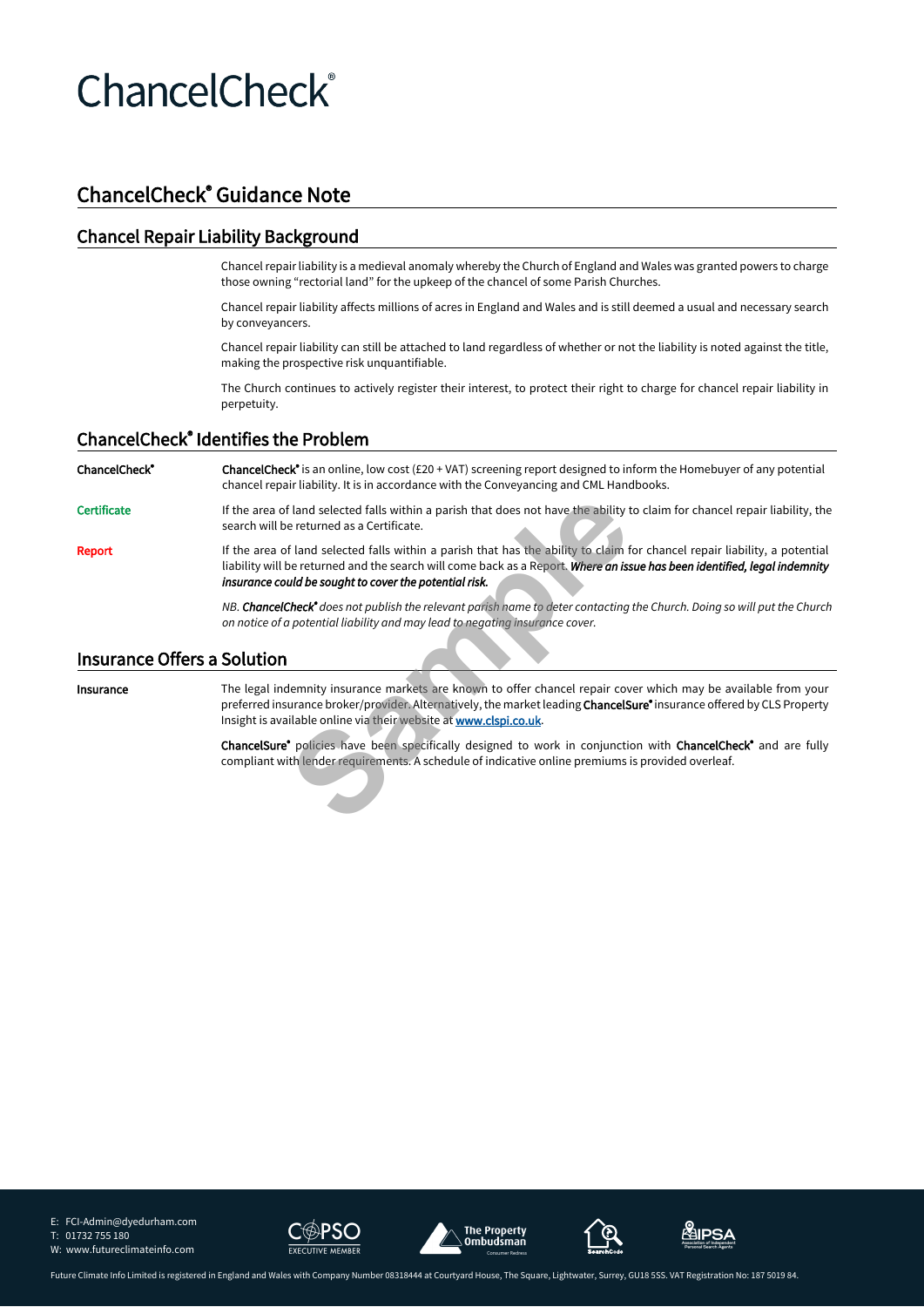## **ChancelCheck®**

### **ChancelCheck® Guidance Note**

#### **Chancel Repair Liability Background**

Chancel repair liability is a medieval anomaly whereby the Church of England and Wales was granted powers to charge those owning "rectorial land" for the upkeep of the chancel of some Parish Churches.

Chancel repair liability affects millions of acres in England and Wales and is still deemed a usual and necessary search by conveyancers.

Chancel repair liability can still be attached to land regardless of whether or not the liability is noted against the title, making the prospective risk unquantifiable.

The Church continues to actively register their interest, to protect their right to charge for chancel repair liability in perpetuity.

#### **ChancelCheck® Identifies the Problem**

**ChancelCheck® ChancelCheck®** is an online, low cost (£20 + VAT) screening report designed to inform the Homebuyer of any potential chancel repair liability. It is in accordance with the Conveyancing and CML Handbooks.

Certificate **If the area of land selected falls within a parish that does not have the ability to claim for chancel repair liability, the** search will be returned as a Certificate.

Report **If the area of land selected falls within a parish that has the ability to claim for chancel repair liability, a potential** liability will be returned and the search will come back as a Report. *Where an issue has been identified, legal indemnity insurance could be sought to cover the potential risk.*

> *NB. ChancelCheck® does not publish the relevant parish name to deter contacting the Church. Doing so will put the Church on notice of a potential liability and may lead to negating insurance cover.*

#### **Insurance Offers a Solution**

**Insurance** The legal indemnity insurance markets are known to offer chancel repair cover which may be available from your preferred insurance broker/provider. Alternatively, the market leading **ChancelSure®** insurance offered by CLS Property Insight is available online via their website at **www.clspi.co.uk**. **Sample 18 and selected falls within a parish that does not have the ability to ereturned as a Certificate.**<br>
Sample returned and the search will come back as a Report. **Where an iss**<br> **Sample returned and the search will** 

**ChancelSure®** policies have been specifically designed to work in conjunction with **ChancelCheck®** and are fully compliant with lender requirements. A schedule of indicative online premiums is provided overleaf.

E: FCI-Admin@dyedurham.com T: 01732 755 180



W: www.futureclimateinfo.com







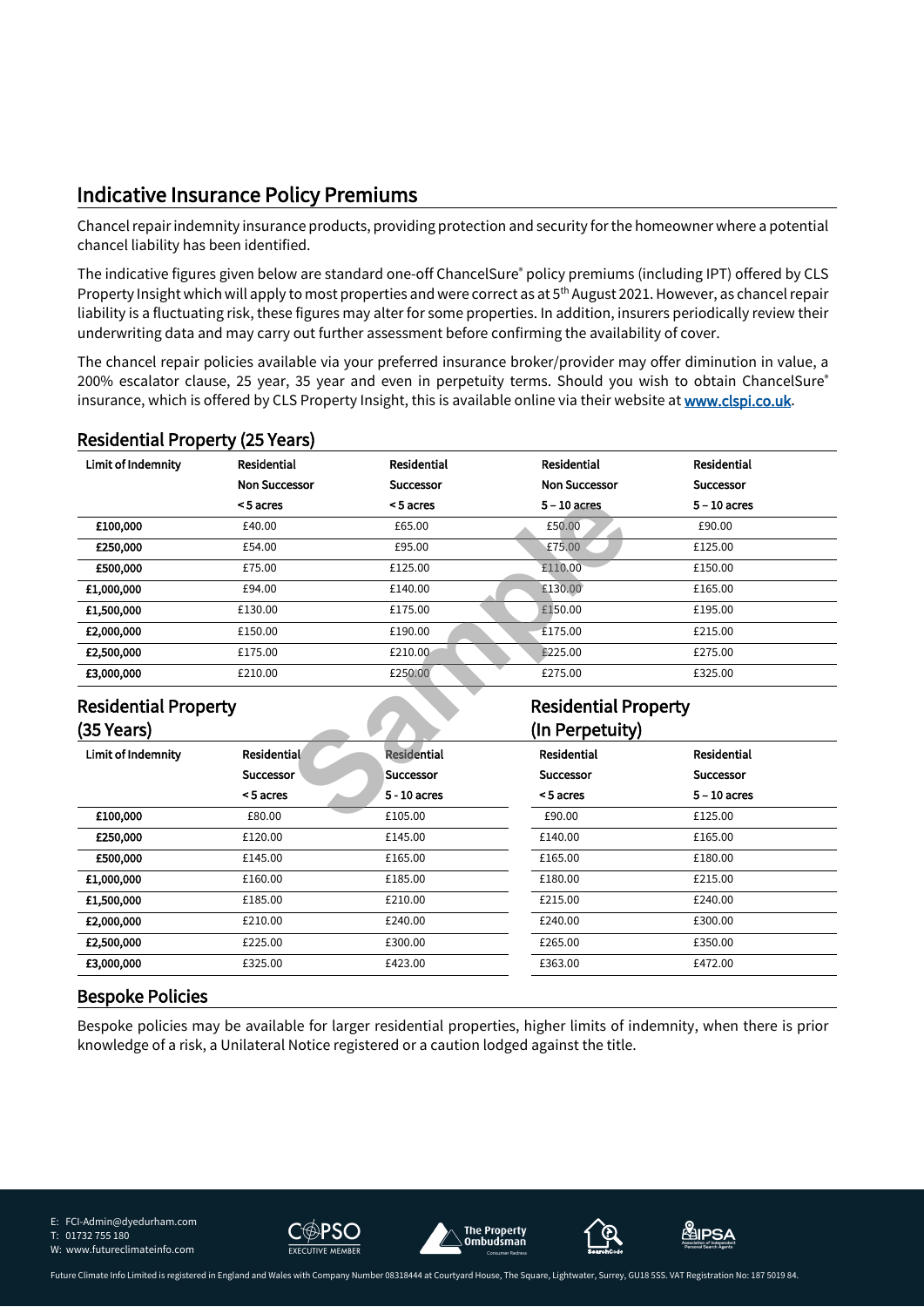### **Indicative Insurance Policy Premiums**

Chancel repair indemnity insurance products, providing protection and security for the homeowner where a potential chancel liability has been identified.

The indicative figures given below are standard one-off ChancelSure® policy premiums (including IPT) offered by CLS Property Insight which will apply to most properties and were correct as at 5<sup>th</sup> August 2021. However, as chancel repair liability is a fluctuating risk, these figures may alter for some properties. In addition, insurers periodically review their underwriting data and may carry out further assessment before confirming the availability of cover.

The chancel repair policies available via your preferred insurance broker/provider may offer diminution in value, a 200% escalator clause, 25 year, 35 year and even in perpetuity terms. Should you wish to obtain ChancelSure® insurance, which is offered by CLS Property Insight, this is available online via their website at **www.clspi.co.uk**.

#### **Residential Property (25 Years)**

| Limit of Indemnity          | <b>Residential</b>   | <b>Residential</b> | <b>Residential</b>          | <b>Residential</b> |
|-----------------------------|----------------------|--------------------|-----------------------------|--------------------|
|                             | <b>Non Successor</b> | <b>Successor</b>   | <b>Non Successor</b>        | <b>Successor</b>   |
|                             | <5 acres             | <5 acres           | $5 - 10$ acres              | $5 - 10$ acres     |
| £100,000                    | £40.00               | £65.00             | £50.00                      | £90.00             |
| £250,000                    | £54.00               | £95.00             | £75.00                      | £125.00            |
| £500,000                    | £75.00               | £125.00            | £110.00                     | £150.00            |
| £1,000,000                  | £94.00               | £140.00            | £130.00                     | £165.00            |
| £1,500,000                  | £130.00              | £175.00            | £150.00                     | £195.00            |
| £2,000,000                  | £150.00              | £190.00            | £175.00                     | £215.00            |
| £2,500,000                  | £175.00              | £210.00            | £225.00                     | £275.00            |
| £3,000,000                  | £210.00              | £250.00            | £275.00                     | £325.00            |
| <b>Residential Property</b> |                      |                    | <b>Residential Property</b> |                    |
| (35 Years)                  |                      |                    | (In Perpetuity)             |                    |
| Limit of Indemnity          | <b>Residential</b>   | <b>Residential</b> | Residential                 | <b>Residential</b> |
|                             | <b>Successor</b>     | <b>Successor</b>   | <b>Successor</b>            | <b>Successor</b>   |
|                             | <5 acres             | 5 - 10 acres       | <5 acres                    | $5 - 10$ acres     |
| £100,000                    | £80.00               | £105.00            | £90.00                      | £125.00            |

#### **Residential Property (35 Years)**

#### **(In Perpetuity) Limit of Indemnity Residential Successor < 5 acres Residential Successor 5 - 10 acres Residential Successor < 5 acres Residential Successor 5 – 10 acres £100,000** £80.00 £80.00 £90.00 £90.00 £90.00 £90.00 £90.00 £90.00 £90.00 £90.00 £90.00 £90.00 £90.00 £90.00 £90.00 £90.00 £90.00 £90.00  $\pm$  **£250,000** £120.00 £145.00 £140.00 £165.00 **£500,000** £145.00 £165.00 £165.00 £165.00 £180.00 **£1,000,000** £160.00 £185.00 £180.00 £215.00 **£1,500,000** £185.00 £210.00 £215.00 £240.00 **£2,000,000** £210.00 £240.00 £240.00 £300.00 **£2,500,000** £225.00 £300.00 £265.00 £350.00 **£3,000,000** £325.00 £423.00 £363.00 £472.00

#### **Bespoke Policies**

Bespoke policies may be available for larger residential properties, higher limits of indemnity, when there is prior knowledge of a risk, a Unilateral Notice registered or a caution lodged against the title.

E: FCI-Admin@dyedurham.com











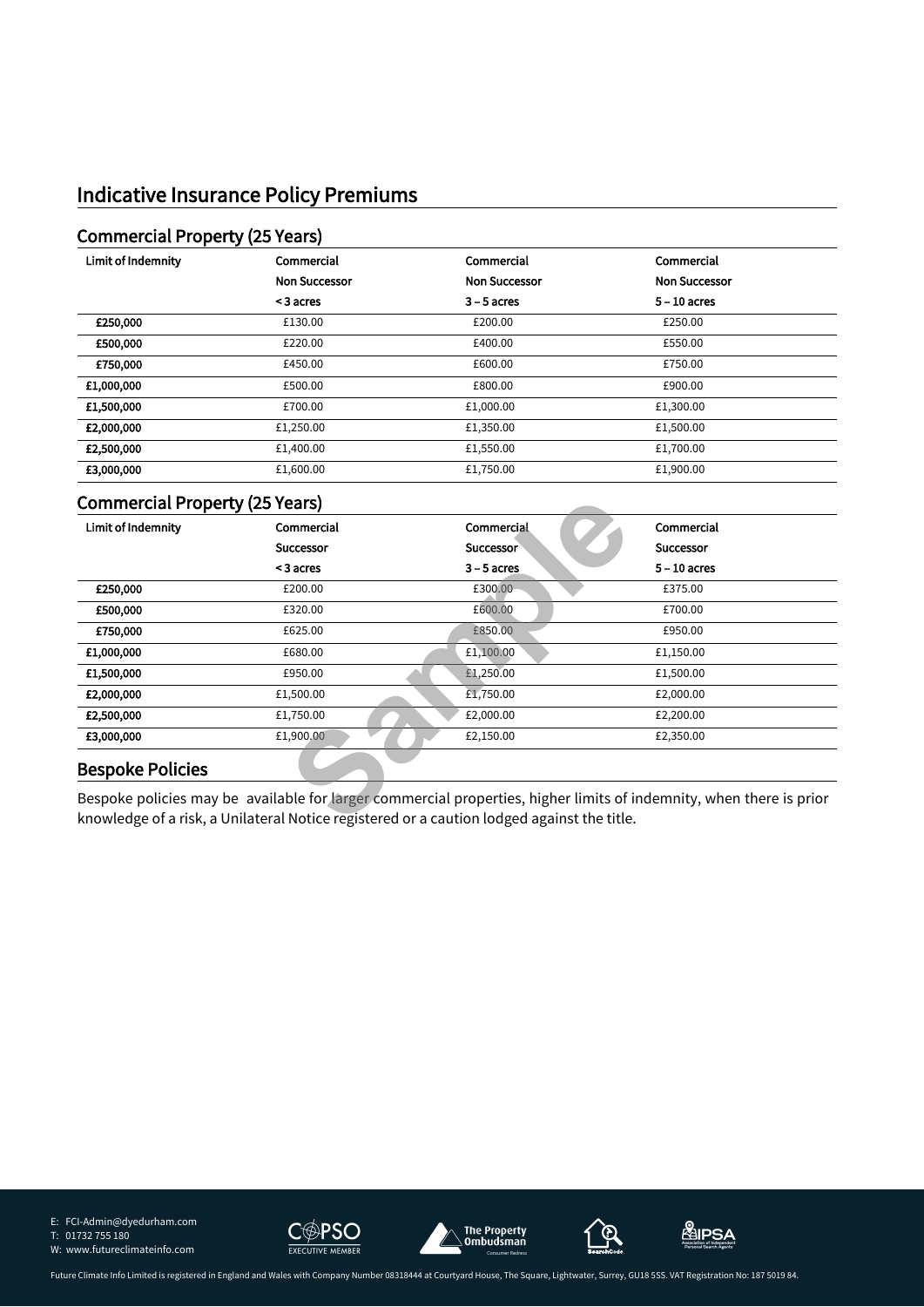### **Indicative Insurance Policy Premiums**

#### **Commercial Property (25 Years)**

| Limit of Indemnity | Commercial           | Commercial           | Commercial           |
|--------------------|----------------------|----------------------|----------------------|
|                    | <b>Non Successor</b> | <b>Non Successor</b> | <b>Non Successor</b> |
|                    | < 3 acres            | $3 - 5$ acres        | $5 - 10$ acres       |
| £250,000           | £130.00              | £200.00              | £250.00              |
| £500,000           | £220.00              | £400.00              | £550.00              |
| £750,000           | £450.00              | £600.00              | £750.00              |
| £1,000,000         | £500.00              | £800.00              | £900.00              |
| £1,500,000         | £700.00              | £1,000.00            | £1,300.00            |
| £2,000,000         | £1,250.00            | £1,350.00            | £1,500.00            |
| £2,500,000         | £1,400.00            | £1,550.00            | £1,700.00            |
| £3,000,000         | £1,600.00            | £1,750.00            | £1,900.00            |

#### **Commercial Property (25 Years)**

| Limit of Indemnity      | Commercial       | Commercial       | Commercial       |
|-------------------------|------------------|------------------|------------------|
|                         | <b>Successor</b> | <b>Successor</b> | <b>Successor</b> |
|                         | < 3 acres        | $3 - 5$ acres    | $5 - 10$ acres   |
| £250,000                | £200.00          | £300.00          | £375.00          |
| £500,000                | £320.00          | £600.00          | £700.00          |
| £750,000                | £625.00          | £850.00          | £950.00          |
| £1,000,000              | £680.00          | £1,100.00        | £1,150.00        |
| £1,500,000              | £950.00          | £1,250.00        | £1,500.00        |
| £2,000,000              | £1,500.00        | £1,750.00        | £2,000.00        |
| £2,500,000              | £1,750.00        | £2,000.00        | £2,200.00        |
| £3,000,000              | £1,900.00        | £2,150.00        | £2,350.00        |
| <b>Bespoke Policies</b> |                  |                  |                  |

#### **Bespoke Policies**

E: FCI-Admin@dyedurham.com T: 01732 755 180 W: www.futureclimateinfo.com